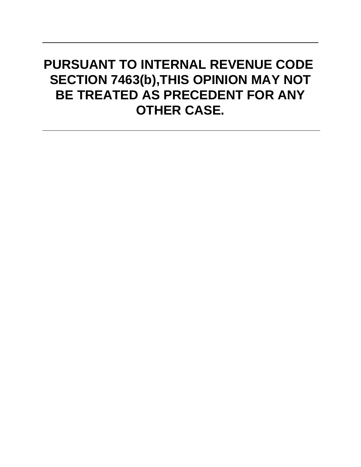# **PURSUANT TO INTERNAL REVENUE CODE SECTION 7463(b),THIS OPINION MAY NOT BE TREATED AS PRECEDENT FOR ANY OTHER CASE.**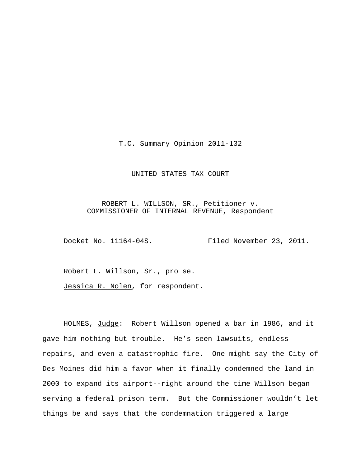T.C. Summary Opinion 2011-132

## UNITED STATES TAX COURT

ROBERT L. WILLSON, SR., Petitioner  $\underline{v}$ . COMMISSIONER OF INTERNAL REVENUE, Respondent

Docket No. 11164-04S.<br>Filed November 23, 2011.

Robert L. Willson, Sr., pro se.

Jessica R. Nolen, for respondent.

HOLMES, Judge: Robert Willson opened a bar in 1986, and it gave him nothing but trouble. He's seen lawsuits, endless repairs, and even a catastrophic fire. One might say the City of Des Moines did him a favor when it finally condemned the land in 2000 to expand its airport--right around the time Willson began serving a federal prison term. But the Commissioner wouldn't let things be and says that the condemnation triggered a large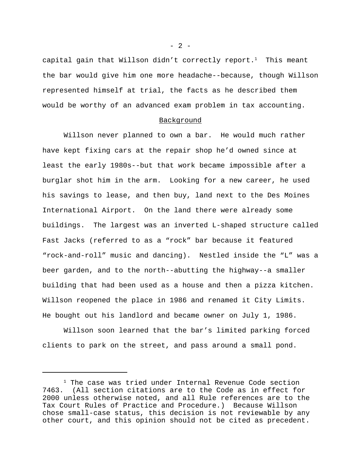capital gain that Willson didn't correctly report.<sup>1</sup> This meant the bar would give him one more headache--because, though Willson represented himself at trial, the facts as he described them would be worthy of an advanced exam problem in tax accounting.

#### Background

Willson never planned to own a bar. He would much rather have kept fixing cars at the repair shop he'd owned since at least the early 1980s--but that work became impossible after a burglar shot him in the arm. Looking for a new career, he used his savings to lease, and then buy, land next to the Des Moines International Airport. On the land there were already some buildings. The largest was an inverted L-shaped structure called Fast Jacks (referred to as a "rock" bar because it featured "rock-and-roll" music and dancing). Nestled inside the "L" was a beer garden, and to the north--abutting the highway--a smaller building that had been used as a house and then a pizza kitchen. Willson reopened the place in 1986 and renamed it City Limits. He bought out his landlord and became owner on July 1, 1986.

Willson soon learned that the bar's limited parking forced clients to park on the street, and pass around a small pond.

 $- 2 -$ 

 $1$  The case was tried under Internal Revenue Code section 7463. (All section citations are to the Code as in effect for 2000 unless otherwise noted, and all Rule references are to the Tax Court Rules of Practice and Procedure.) Because Willson chose small-case status, this decision is not reviewable by any other court, and this opinion should not be cited as precedent.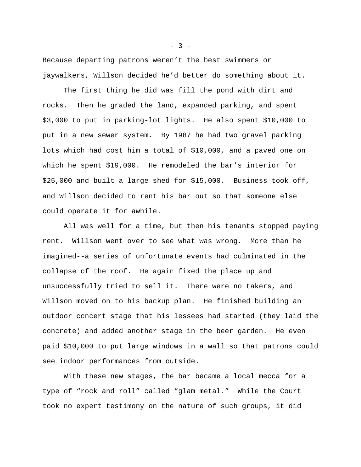Because departing patrons weren't the best swimmers or jaywalkers, Willson decided he'd better do something about it.

The first thing he did was fill the pond with dirt and rocks. Then he graded the land, expanded parking, and spent \$3,000 to put in parking-lot lights. He also spent \$10,000 to put in a new sewer system. By 1987 he had two gravel parking lots which had cost him a total of \$10,000, and a paved one on which he spent \$19,000. He remodeled the bar's interior for \$25,000 and built a large shed for \$15,000. Business took off, and Willson decided to rent his bar out so that someone else could operate it for awhile.

All was well for a time, but then his tenants stopped paying rent. Willson went over to see what was wrong. More than he imagined--a series of unfortunate events had culminated in the collapse of the roof. He again fixed the place up and unsuccessfully tried to sell it. There were no takers, and Willson moved on to his backup plan. He finished building an outdoor concert stage that his lessees had started (they laid the concrete) and added another stage in the beer garden. He even paid \$10,000 to put large windows in a wall so that patrons could see indoor performances from outside.

With these new stages, the bar became a local mecca for a type of "rock and roll" called "glam metal." While the Court took no expert testimony on the nature of such groups, it did

 $- 3 -$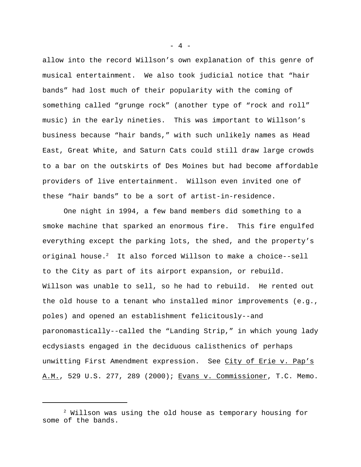allow into the record Willson's own explanation of this genre of musical entertainment. We also took judicial notice that "hair bands" had lost much of their popularity with the coming of something called "grunge rock" (another type of "rock and roll" music) in the early nineties. This was important to Willson's business because "hair bands," with such unlikely names as Head East, Great White, and Saturn Cats could still draw large crowds to a bar on the outskirts of Des Moines but had become affordable providers of live entertainment. Willson even invited one of these "hair bands" to be a sort of artist-in-residence.

One night in 1994, a few band members did something to a smoke machine that sparked an enormous fire. This fire engulfed everything except the parking lots, the shed, and the property's original house.<sup>2</sup> It also forced Willson to make a choice--sell to the City as part of its airport expansion, or rebuild. Willson was unable to sell, so he had to rebuild. He rented out the old house to a tenant who installed minor improvements (e.g., poles) and opened an establishment felicitously--and paronomastically--called the "Landing Strip," in which young lady ecdysiasts engaged in the deciduous calisthenics of perhaps unwitting First Amendment expression. See City of Erie v. Pap's A.M., 529 U.S. 277, 289 (2000); Evans v. Commissioner, T.C. Memo.

 $- 4 -$ 

 $2$  Willson was using the old house as temporary housing for some of the bands.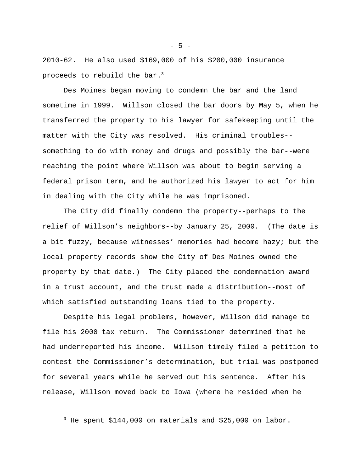2010-62. He also used \$169,000 of his \$200,000 insurance proceeds to rebuild the bar.<sup>3</sup>

Des Moines began moving to condemn the bar and the land sometime in 1999. Willson closed the bar doors by May 5, when he transferred the property to his lawyer for safekeeping until the matter with the City was resolved.His criminal troubles- something to do with money and drugs and possibly the bar--were reaching the point where Willson was about to begin serving a federal prison term, and he authorized his lawyer to act for him in dealing with the City while he was imprisoned.

The City did finally condemn the property--perhaps to the relief of Willson's neighbors--by January 25, 2000.(The date is a bit fuzzy, because witnesses' memories had become hazy; but the local property records show the City of Des Moines owned the property by that date.) The City placed the condemnation award in a trust account, and the trust made a distribution--most of which satisfied outstanding loans tied to the property.

Despite his legal problems, however, Willson did manage to file his 2000 tax return. The Commissioner determined that he had underreported his income. Willson timely filed a petition to contest the Commissioner's determination, but trial was postponed for several years while he served out his sentence. After his release, Willson moved back to Iowa (where he resided when he

 $-5 -$ 

<sup>3</sup> He spent \$144,000 on materials and \$25,000 on labor.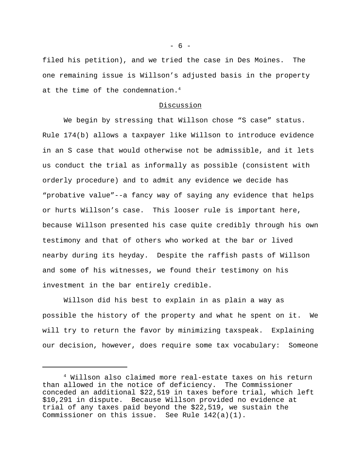filed his petition), and we tried the case in Des Moines. The one remaining issue is Willson's adjusted basis in the property at the time of the condemnation.<sup>4</sup>

## Discussion

We begin by stressing that Willson chose "S case" status. Rule 174(b) allows a taxpayer like Willson to introduce evidence in an S case that would otherwise not be admissible, and it lets us conduct the trial as informally as possible (consistent with orderly procedure) and to admit any evidence we decide has "probative value"--a fancy way of saying any evidence that helps or hurts Willson's case. This looser rule is important here, because Willson presented his case quite credibly through his own testimony and that of others who worked at the bar or lived nearby during its heyday. Despite the raffish pasts of Willson and some of his witnesses, we found their testimony on his investment in the bar entirely credible.

Willson did his best to explain in as plain a way as possible the history of the property and what he spent on it. We will try to return the favor by minimizing taxspeak. Explaining our decision, however, does require some tax vocabulary: Someone

 $- 6 -$ 

<sup>4</sup> Willson also claimed more real-estate taxes on his return than allowed in the notice of deficiency. The Commissioner conceded an additional \$22,519 in taxes before trial, which left \$10,291 in dispute. Because Willson provided no evidence at trial of any taxes paid beyond the \$22,519, we sustain the Commissioner on this issue. See Rule 142(a)(1).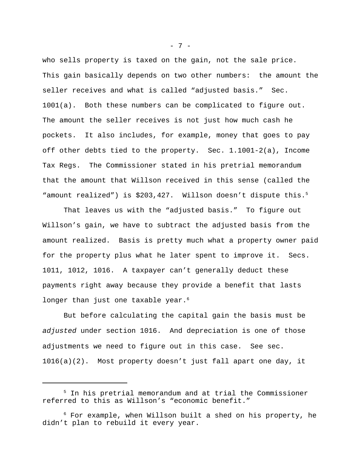who sells property is taxed on the gain, not the sale price. This gain basically depends on two other numbers: the amount the seller receives and what is called "adjusted basis." Sec. 1001(a). Both these numbers can be complicated to figure out. The amount the seller receives is not just how much cash he pockets. It also includes, for example, money that goes to pay off other debts tied to the property. Sec. 1.1001-2(a), Income Tax Regs. The Commissioner stated in his pretrial memorandum that the amount that Willson received in this sense (called the "amount realized") is \$203,427. Willson doesn't dispute this.<sup>5</sup>

That leaves us with the "adjusted basis." To figure out Willson's gain, we have to subtract the adjusted basis from the amount realized. Basis is pretty much what a property owner paid for the property plus what he later spent to improve it. Secs. 1011, 1012, 1016. A taxpayer can't generally deduct these payments right away because they provide a benefit that lasts longer than just one taxable year.<sup>6</sup>

But before calculating the capital gain the basis must be *adjusted* under section 1016. And depreciation is one of those adjustments we need to figure out in this case. See sec. 1016(a)(2). Most property doesn't just fall apart one day, it

- 7 -

<sup>5</sup> In his pretrial memorandum and at trial the Commissioner referred to this as Willson's "economic benefit."

 $6$  For example, when Willson built a shed on his property, he didn't plan to rebuild it every year.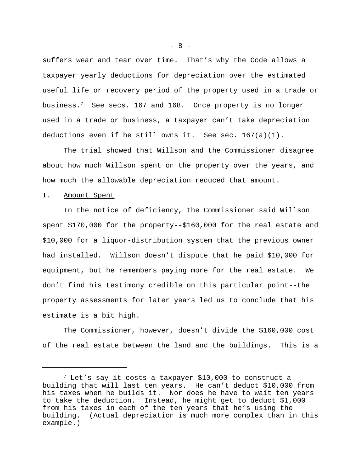suffers wear and tear over time. That's why the Code allows a taxpayer yearly deductions for depreciation over the estimated useful life or recovery period of the property used in a trade or business.<sup>7</sup> See secs. 167 and 168. Once property is no longer used in a trade or business, a taxpayer can't take depreciation deductions even if he still owns it. See sec.  $167(a)(1)$ .

The trial showed that Willson and the Commissioner disagree about how much Willson spent on the property over the years, and how much the allowable depreciation reduced that amount.

## I. Amount Spent

In the notice of deficiency, the Commissioner said Willson spent \$170,000 for the property--\$160,000 for the real estate and \$10,000 for a liquor-distribution system that the previous owner had installed. Willson doesn't dispute that he paid \$10,000 for equipment, but he remembers paying more for the real estate. We don't find his testimony credible on this particular point--the property assessments for later years led us to conclude that his estimate is a bit high.

The Commissioner, however, doesn't divide the \$160,000 cost of the real estate between the land and the buildings. This is a

 $- 8 -$ 

 $7$  Let's say it costs a taxpayer \$10,000 to construct a building that will last ten years. He can't deduct \$10,000 from his taxes when he builds it. Nor does he have to wait ten years to take the deduction. Instead, he might get to deduct \$1,000 from his taxes in each of the ten years that he's using the building. (Actual depreciation is much more complex than in this example.)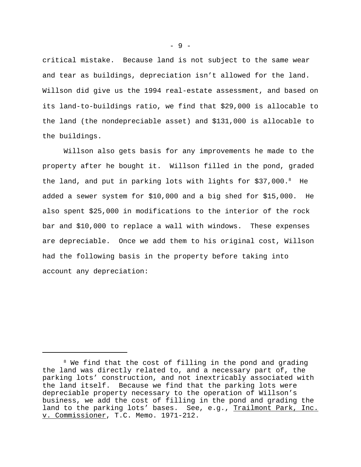critical mistake. Because land is not subject to the same wear and tear as buildings, depreciation isn't allowed for the land. Willson did give us the 1994 real-estate assessment, and based on its land-to-buildings ratio, we find that \$29,000 is allocable to the land (the nondepreciable asset) and \$131,000 is allocable to the buildings.

Willson also gets basis for any improvements he made to the property after he bought it. Willson filled in the pond, graded the land, and put in parking lots with lights for \$37,000.8 He added a sewer system for \$10,000 and a big shed for \$15,000. He also spent \$25,000 in modifications to the interior of the rock bar and \$10,000 to replace a wall with windows. These expenses are depreciable. Once we add them to his original cost, Willson had the following basis in the property before taking into account any depreciation:

- 9 -

<sup>&</sup>lt;sup>8</sup> We find that the cost of filling in the pond and grading the land was directly related to, and a necessary part of, the parking lots' construction, and not inextricably associated with the land itself. Because we find that the parking lots were depreciable property necessary to the operation of Willson's business, we add the cost of filling in the pond and grading the land to the parking lots' bases. See, e.g., Trailmont Park, Inc. v. Commissioner, T.C. Memo. 1971-212.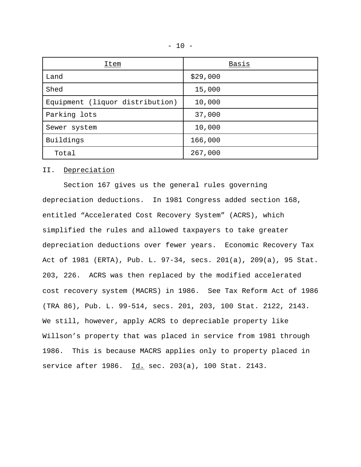| <b>Item</b>                     | Basis    |
|---------------------------------|----------|
| Land                            | \$29,000 |
| Shed                            | 15,000   |
| Equipment (liquor distribution) | 10,000   |
| Parking lots                    | 37,000   |
| Sewer system                    | 10,000   |
| Buildings                       | 166,000  |
| Total                           | 267,000  |

### II. Depreciation

Section 167 gives us the general rules governing depreciation deductions. In 1981 Congress added section 168, entitled "Accelerated Cost Recovery System" (ACRS), which simplified the rules and allowed taxpayers to take greater depreciation deductions over fewer years. Economic Recovery Tax Act of 1981 (ERTA), Pub. L. 97-34, secs. 201(a), 209(a), 95 Stat. 203, 226. ACRS was then replaced by the modified accelerated cost recovery system (MACRS) in 1986. See Tax Reform Act of 1986 (TRA 86), Pub. L. 99-514, secs. 201, 203, 100 Stat. 2122, 2143. We still, however, apply ACRS to depreciable property like Willson's property that was placed in service from 1981 through 1986. This is because MACRS applies only to property placed in service after 1986. Id. sec. 203(a), 100 Stat. 2143.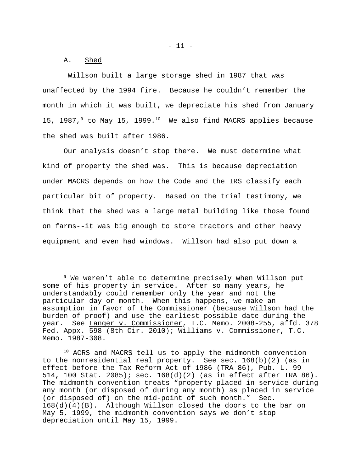A. Shed

 Willson built a large storage shed in 1987 that was unaffected by the 1994 fire. Because he couldn't remember the month in which it was built, we depreciate his shed from January 15, 1987, $9$  to May 15, 1999.<sup>10</sup> We also find MACRS applies because the shed was built after 1986.

Our analysis doesn't stop there. We must determine what kind of property the shed was. This is because depreciation under MACRS depends on how the Code and the IRS classify each particular bit of property. Based on the trial testimony, we think that the shed was a large metal building like those found on farms--it was big enough to store tractors and other heavy equipment and even had windows. Willson had also put down a

<sup>9</sup> We weren't able to determine precisely when Willson put some of his property in service. After so many years, he understandably could remember only the year and not the particular day or month. When this happens, we make an assumption in favor of the Commissioner (because Willson had the burden of proof) and use the earliest possible date during the year. See Langer v. Commissioner, T.C. Memo. 2008-255, affd. 378 Fed. Appx. 598 (8th Cir. 2010); Williams v. Commissioner, T.C. Memo. 1987-308.

<sup>&</sup>lt;sup>10</sup> ACRS and MACRS tell us to apply the midmonth convention to the nonresidential real property. See sec. 168(b)(2) (as in effect before the Tax Reform Act of 1986 (TRA 86), Pub. L. 99- 514, 100 Stat. 2085); sec. 168(d)(2) (as in effect after TRA 86). The midmonth convention treats "property placed in service during any month (or disposed of during any month) as placed in service (or disposed of) on the mid-point of such month." Sec. 168(d)(4)(B). Although Willson closed the doors to the bar on May 5, 1999, the midmonth convention says we don't stop depreciation until May 15, 1999.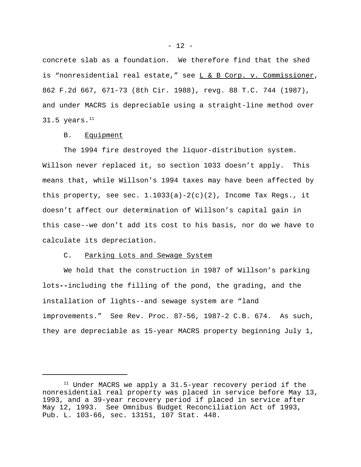concrete slab as a foundation. We therefore find that the shed is "nonresidential real estate," see L & B Corp. v. Commissioner, 862 F.2d 667, 671-73 (8th Cir. 1988), revg. 88 T.C. 744 (1987), and under MACRS is depreciable using a straight-line method over  $31.5$  years. $^{11}$ 

#### B. Equipment

The 1994 fire destroyed the liquor-distribution system. Willson never replaced it, so section 1033 doesn't apply. This means that, while Willson's 1994 taxes may have been affected by this property, see sec.  $1.1033(a)-2(c)(2)$ , Income Tax Regs., it doesn't affect our determination of Willson's capital gain in this case--we don't add its cost to his basis, nor do we have to calculate its depreciation.

#### C. Parking Lots and Sewage System

We hold that the construction in 1987 of Willson's parking lots**--**including the filling of the pond, the grading, and the installation of lights--and sewage system are "land improvements." See Rev. Proc. 87-56, 1987-2 C.B. 674. As such, they are depreciable as 15-year MACRS property beginning July 1,

 $11$  Under MACRS we apply a 31.5-year recovery period if the nonresidential real property was placed in service before May 13, 1993, and a 39-year recovery period if placed in service after May 12, 1993. See Omnibus Budget Reconciliation Act of 1993, Pub. L. 103-66, sec. 13151, 107 Stat. 448.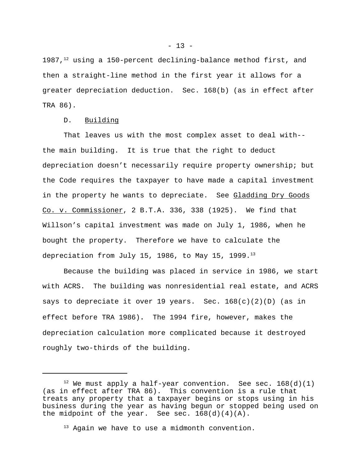1987, $12$  using a 150-percent declining-balance method first, and then a straight-line method in the first year it allows for a greater depreciation deduction. Sec. 168(b) (as in effect after TRA 86).

D. Building

That leaves us with the most complex asset to deal with- the main building. It is true that the right to deduct depreciation doesn't necessarily require property ownership; but the Code requires the taxpayer to have made a capital investment in the property he wants to depreciate. See Gladding Dry Goods Co. v. Commissioner, 2 B.T.A. 336, 338 (1925). We find that Willson's capital investment was made on July 1, 1986, when he bought the property. Therefore we have to calculate the depreciation from July 15, 1986, to May 15, 1999. $^{13}$ 

Because the building was placed in service in 1986, we start with ACRS. The building was nonresidential real estate, and ACRS says to depreciate it over 19 years. Sec. 168(c)(2)(D) (as in effect before TRA 1986)**.** The 1994 fire, however, makes the depreciation calculation more complicated because it destroyed roughly two-thirds of the building.

 $12$  We must apply a half-year convention. See sec. 168(d)(1) (as in effect after TRA 86). This convention is a rule that treats any property that a taxpayer begins or stops using in his business during the year as having begun or stopped being used on the midpoint of the year. See sec.  $168(d)(4)(A)$ .

<sup>&</sup>lt;sup>13</sup> Again we have to use a midmonth convention.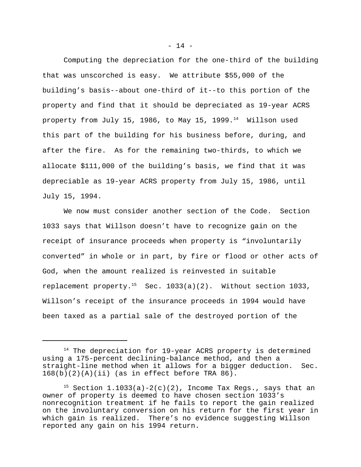Computing the depreciation for the one-third of the building that was unscorched is easy. We attribute \$55,000 of the building's basis--about one-third of it--to this portion of the property and find that it should be depreciated as 19-year ACRS property from July 15, 1986, to May 15, 1999. $14$  Willson used this part of the building for his business before, during, and after the fire. As for the remaining two-thirds, to which we allocate \$111,000 of the building's basis, we find that it was depreciable as 19-year ACRS property from July 15, 1986, until July 15, 1994.

We now must consider another section of the Code. Section 1033 says that Willson doesn't have to recognize gain on the receipt of insurance proceeds when property is "involuntarily converted" in whole or in part, by fire or flood or other acts of God, when the amount realized is reinvested in suitable replacement property.<sup>15</sup> Sec. 1033(a)(2). Without section 1033, Willson's receipt of the insurance proceeds in 1994 would have been taxed as a partial sale of the destroyed portion of the

<sup>&</sup>lt;sup>14</sup> The depreciation for 19-year ACRS property is determined using a 175-percent declining-balance method, and then a straight-line method when it allows for a bigger deduction. Sec.  $168(b)(2)(A)(ii)$  (as in effect before TRA 86).

<sup>&</sup>lt;sup>15</sup> Section  $1.1033(a)-2(c)(2)$ , Income Tax Regs., says that an owner of property is deemed to have chosen section 1033's nonrecognition treatment if he fails to report the gain realized on the involuntary conversion on his return for the first year in which gain is realized. There's no evidence suggesting Willson reported any gain on his 1994 return.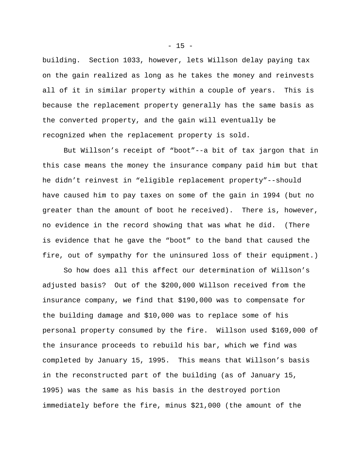building. Section 1033, however, lets Willson delay paying tax on the gain realized as long as he takes the money and reinvests all of it in similar property within a couple of years. This is because the replacement property generally has the same basis as the converted property, and the gain will eventually be recognized when the replacement property is sold.

But Willson's receipt of "boot"--a bit of tax jargon that in this case means the money the insurance company paid him but that he didn't reinvest in "eligible replacement property"--should have caused him to pay taxes on some of the gain in 1994 (but no greater than the amount of boot he received). There is, however, no evidence in the record showing that was what he did. (There is evidence that he gave the "boot" to the band that caused the fire, out of sympathy for the uninsured loss of their equipment.)

So how does all this affect our determination of Willson's adjusted basis? Out of the \$200,000 Willson received from the insurance company, we find that \$190,000 was to compensate for the building damage and \$10,000 was to replace some of his personal property consumed by the fire. Willson used \$169,000 of the insurance proceeds to rebuild his bar, which we find was completed by January 15, 1995. This means that Willson's basis in the reconstructed part of the building (as of January 15, 1995) was the same as his basis in the destroyed portion immediately before the fire, minus \$21,000 (the amount of the

 $- 15 -$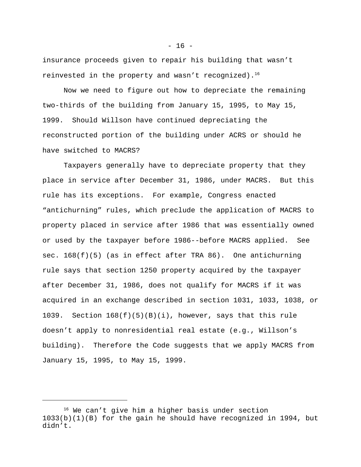insurance proceeds given to repair his building that wasn't reinvested in the property and wasn't recognized).<sup>16</sup>

Now we need to figure out how to depreciate the remaining two-thirds of the building from January 15, 1995, to May 15, 1999. Should Willson have continued depreciating the reconstructed portion of the building under ACRS or should he have switched to MACRS?

Taxpayers generally have to depreciate property that they place in service after December 31, 1986, under MACRS. But this rule has its exceptions. For example, Congress enacted "antichurning" rules, which preclude the application of MACRS to property placed in service after 1986 that was essentially owned or used by the taxpayer before 1986--before MACRS applied. See sec. 168(f)(5) (as in effect after TRA 86). One antichurning rule says that section 1250 property acquired by the taxpayer after December 31, 1986, does not qualify for MACRS if it was acquired in an exchange described in section 1031, 1033, 1038, or 1039. Section  $168(f)(5)(B)(i)$ , however, says that this rule doesn't apply to nonresidential real estate (e.g., Willson's building). Therefore the Code suggests that we apply MACRS from January 15, 1995, to May 15, 1999.

 $- 16 -$ 

<sup>&</sup>lt;sup>16</sup> We can't give him a higher basis under section 1033(b)(1)(B) for the gain he should have recognized in 1994, but didn't.